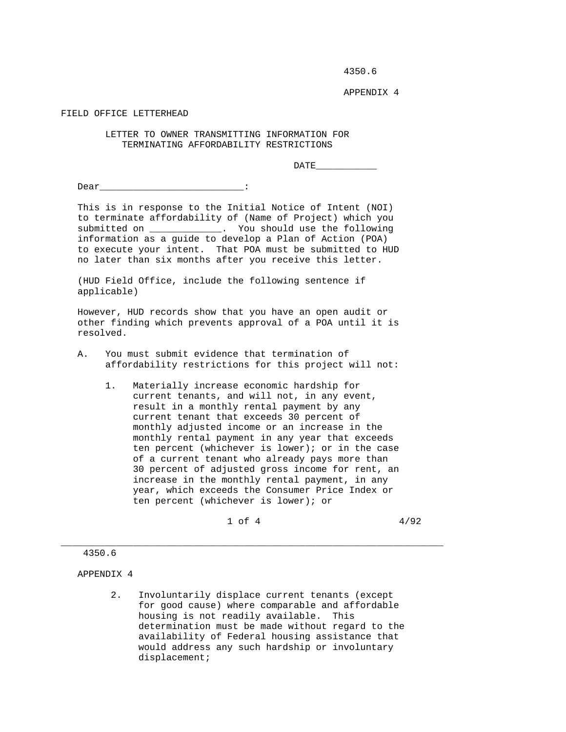4350.6

APPENDIX 4

FIELD OFFICE LETTERHEAD

 LETTER TO OWNER TRANSMITTING INFORMATION FOR TERMINATING AFFORDABILITY RESTRICTIONS

DATE\_\_\_\_\_\_\_\_\_\_\_

Dear <u>and the set of the set of the set of the set of the set of the set of the set of the set of the set of the set of the set of the set of the set of the set of the set of the set of the set of the set of the set of the</u>

 This is in response to the Initial Notice of Intent (NOI) to terminate affordability of (Name of Project) which you submitted on \_\_\_\_\_\_\_\_\_\_\_\_\_. You should use the following information as a guide to develop a Plan of Action (POA) to execute your intent. That POA must be submitted to HUD no later than six months after you receive this letter.

 (HUD Field Office, include the following sentence if applicable)

 However, HUD records show that you have an open audit or other finding which prevents approval of a POA until it is resolved.

- A. You must submit evidence that termination of affordability restrictions for this project will not:
	- 1. Materially increase economic hardship for current tenants, and will not, in any event, result in a monthly rental payment by any current tenant that exceeds 30 percent of monthly adjusted income or an increase in the monthly rental payment in any year that exceeds ten percent (whichever is lower); or in the case of a current tenant who already pays more than 30 percent of adjusted gross income for rent, an increase in the monthly rental payment, in any year, which exceeds the Consumer Price Index or ten percent (whichever is lower); or

 $1 \text{ of } 4$   $4/92$ 

\_\_\_\_\_\_\_\_\_\_\_\_\_\_\_\_\_\_\_\_\_\_\_\_\_\_\_\_\_\_\_\_\_\_\_\_\_\_\_\_\_\_\_\_\_\_\_\_\_\_\_\_\_\_\_\_\_\_\_\_\_\_\_\_\_\_\_\_\_

## 4350.6

APPENDIX 4

 2. Involuntarily displace current tenants (except for good cause) where comparable and affordable housing is not readily available. This determination must be made without regard to the availability of Federal housing assistance that would address any such hardship or involuntary displacement;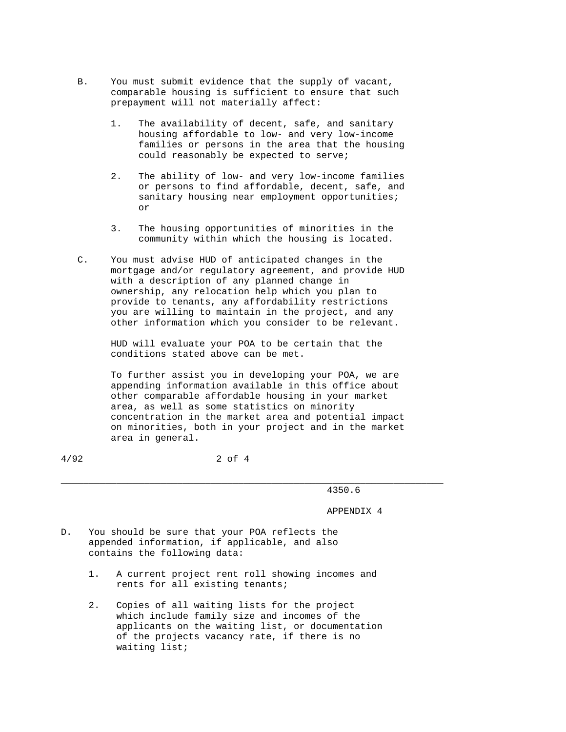- B. You must submit evidence that the supply of vacant, comparable housing is sufficient to ensure that such prepayment will not materially affect:
	- 1. The availability of decent, safe, and sanitary housing affordable to low- and very low-income families or persons in the area that the housing could reasonably be expected to serve;
- 2. The ability of low- and very low-income families or persons to find affordable, decent, safe, and sanitary housing near employment opportunities; or
	- 3. The housing opportunities of minorities in the community within which the housing is located.
	- C. You must advise HUD of anticipated changes in the mortgage and/or regulatory agreement, and provide HUD with a description of any planned change in ownership, any relocation help which you plan to provide to tenants, any affordability restrictions you are willing to maintain in the project, and any other information which you consider to be relevant.

 HUD will evaluate your POA to be certain that the conditions stated above can be met.

 To further assist you in developing your POA, we are appending information available in this office about other comparable affordable housing in your market area, as well as some statistics on minority concentration in the market area and potential impact on minorities, both in your project and in the market area in general.

\_\_\_\_\_\_\_\_\_\_\_\_\_\_\_\_\_\_\_\_\_\_\_\_\_\_\_\_\_\_\_\_\_\_\_\_\_\_\_\_\_\_\_\_\_\_\_\_\_\_\_\_\_\_\_\_\_\_\_\_\_\_\_\_\_\_\_\_\_

4/92 2 of 4

4350.6

APPENDIX 4

- D. You should be sure that your POA reflects the appended information, if applicable, and also contains the following data:
	- 1. A current project rent roll showing incomes and rents for all existing tenants;
	- 2. Copies of all waiting lists for the project which include family size and incomes of the applicants on the waiting list, or documentation of the projects vacancy rate, if there is no waiting list;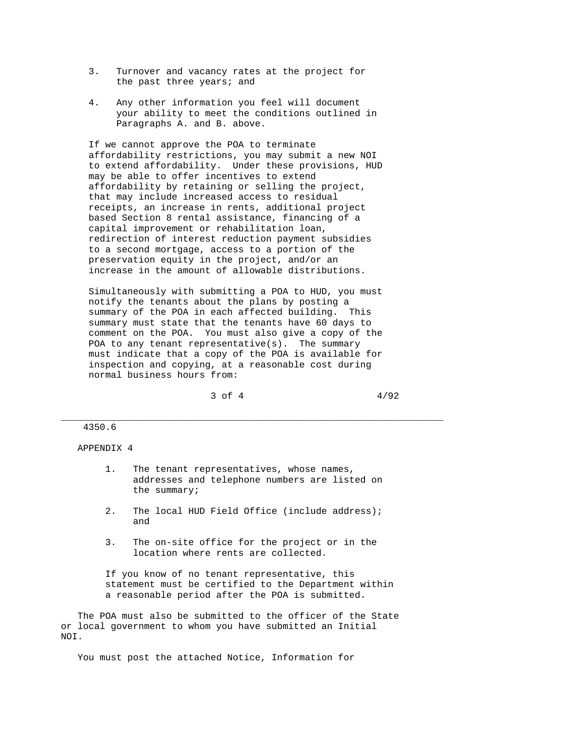- 3. Turnover and vacancy rates at the project for the past three years; and
- 4. Any other information you feel will document your ability to meet the conditions outlined in Paragraphs A. and B. above.

 If we cannot approve the POA to terminate affordability restrictions, you may submit a new NOI to extend affordability. Under these provisions, HUD may be able to offer incentives to extend affordability by retaining or selling the project, that may include increased access to residual receipts, an increase in rents, additional project based Section 8 rental assistance, financing of a capital improvement or rehabilitation loan, redirection of interest reduction payment subsidies to a second mortgage, access to a portion of the preservation equity in the project, and/or an increase in the amount of allowable distributions.

 Simultaneously with submitting a POA to HUD, you must notify the tenants about the plans by posting a summary of the POA in each affected building. This summary must state that the tenants have 60 days to comment on the POA. You must also give a copy of the POA to any tenant representative(s). The summary must indicate that a copy of the POA is available for inspection and copying, at a reasonable cost during normal business hours from:

 $3 \text{ of } 4$   $4/92$ 

## 4350.6

APPENDIX 4

 1. The tenant representatives, whose names, addresses and telephone numbers are listed on the summary;

\_\_\_\_\_\_\_\_\_\_\_\_\_\_\_\_\_\_\_\_\_\_\_\_\_\_\_\_\_\_\_\_\_\_\_\_\_\_\_\_\_\_\_\_\_\_\_\_\_\_\_\_\_\_\_\_\_\_\_\_\_\_\_\_\_\_\_\_\_

- 2. The local HUD Field Office (include address); and
- 3. The on-site office for the project or in the location where rents are collected.

 If you know of no tenant representative, this statement must be certified to the Department within a reasonable period after the POA is submitted.

 The POA must also be submitted to the officer of the State or local government to whom you have submitted an Initial NOI.

You must post the attached Notice, Information for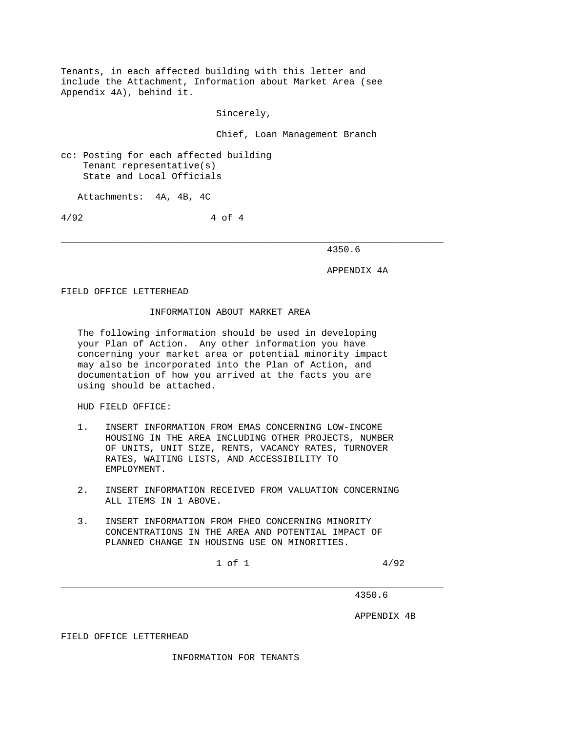Tenants, in each affected building with this letter and include the Attachment, Information about Market Area (see Appendix 4A), behind it.

Sincerely,

Chief, Loan Management Branch

cc: Posting for each affected building Tenant representative(s) State and Local Officials

Attachments: 4A, 4B, 4C

4/92 4 of 4

\_\_\_\_\_\_\_\_\_\_\_\_\_\_\_\_\_\_\_\_\_\_\_\_\_\_\_\_\_\_\_\_\_\_\_\_\_\_\_\_\_\_\_\_\_\_\_\_\_\_\_\_\_\_\_\_\_\_\_\_\_\_\_\_\_\_\_\_\_ 4350.6

APPENDIX 4A

FIELD OFFICE LETTERHEAD

## INFORMATION ABOUT MARKET AREA

 The following information should be used in developing your Plan of Action. Any other information you have concerning your market area or potential minority impact may also be incorporated into the Plan of Action, and documentation of how you arrived at the facts you are using should be attached.

HUD FIELD OFFICE:

- 1. INSERT INFORMATION FROM EMAS CONCERNING LOW-INCOME HOUSING IN THE AREA INCLUDING OTHER PROJECTS, NUMBER OF UNITS, UNIT SIZE, RENTS, VACANCY RATES, TURNOVER RATES, WAITING LISTS, AND ACCESSIBILITY TO EMPLOYMENT.
- 2. INSERT INFORMATION RECEIVED FROM VALUATION CONCERNING ALL ITEMS IN 1 ABOVE.
- 3. INSERT INFORMATION FROM FHEO CONCERNING MINORITY CONCENTRATIONS IN THE AREA AND POTENTIAL IMPACT OF PLANNED CHANGE IN HOUSING USE ON MINORITIES.

 $1 \text{ of } 1$   $4/92$ 

4350.6

APPENDIX 4B

FIELD OFFICE LETTERHEAD

INFORMATION FOR TENANTS

\_\_\_\_\_\_\_\_\_\_\_\_\_\_\_\_\_\_\_\_\_\_\_\_\_\_\_\_\_\_\_\_\_\_\_\_\_\_\_\_\_\_\_\_\_\_\_\_\_\_\_\_\_\_\_\_\_\_\_\_\_\_\_\_\_\_\_\_\_